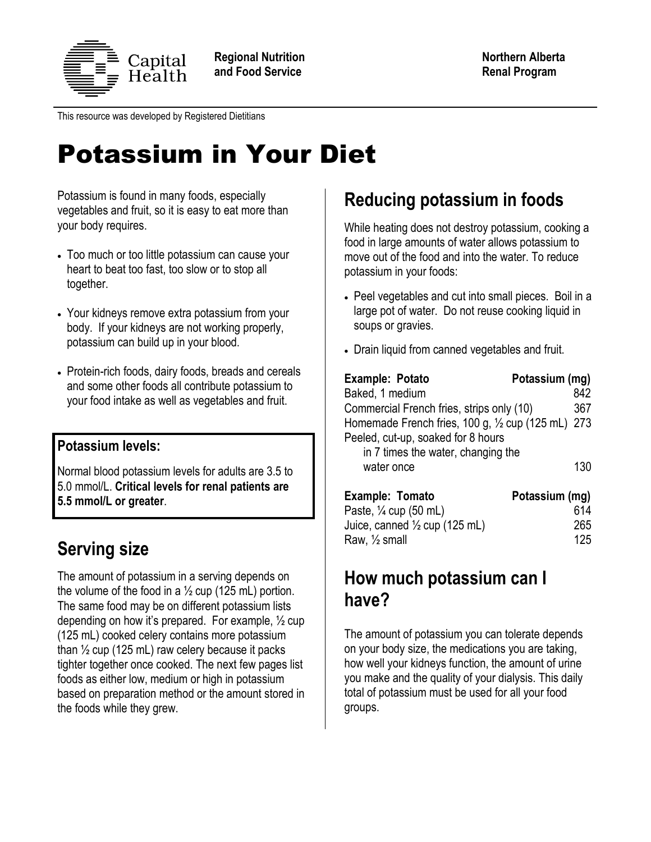

This resource was developed by Registered Dietitians

# Potassium in Your Diet

Potassium is found in many foods, especially vegetables and fruit, so it is easy to eat more than your body requires.

- Too much or too little potassium can cause your heart to beat too fast, too slow or to stop all together.
- Your kidneys remove extra potassium from your body. If your kidneys are not working properly, potassium can build up in your blood.
- Protein-rich foods, dairy foods, breads and cereals and some other foods all contribute potassium to your food intake as well as vegetables and fruit.

### **Potassium levels:**

Normal blood potassium levels for adults are 3.5 to 5.0 mmol/L. **Critical levels for renal patients are 5.5 mmol/L or greater**.

## **Serving size**

The amount of potassium in a serving depends on the volume of the food in a  $\frac{1}{2}$  cup (125 mL) portion. The same food may be on different potassium lists depending on how it's prepared. For example, ½ cup (125 mL) cooked celery contains more potassium than  $\frac{1}{2}$  cup (125 mL) raw celery because it packs tighter together once cooked. The next few pages list foods as either low, medium or high in potassium based on preparation method or the amount stored in the foods while they grew.

## **Reducing potassium in foods**

While heating does not destroy potassium, cooking a food in large amounts of water allows potassium to move out of the food and into the water. To reduce potassium in your foods:

- Peel vegetables and cut into small pieces. Boil in a large pot of water. Do not reuse cooking liquid in soups or gravies.
- Drain liquid from canned vegetables and fruit.

| Example: Potato                                    | Potassium (mg) |
|----------------------------------------------------|----------------|
| Baked, 1 medium                                    | 842            |
| Commercial French fries, strips only (10)          | 367            |
| Homemade French fries, 100 g, 1/2 cup (125 mL) 273 |                |
| Peeled, cut-up, soaked for 8 hours                 |                |
| in 7 times the water, changing the                 |                |
| water once                                         | 130            |
| Example: Tomato                                    | Potassium (mg) |

| <b>Example: Folliato</b>                 | POLASSIUM (MQ) |
|------------------------------------------|----------------|
| Paste, $\frac{1}{4}$ cup (50 mL)         | 614            |
| Juice, canned $\frac{1}{2}$ cup (125 mL) | 265            |
| Raw, $\frac{1}{2}$ small                 | 125            |
|                                          |                |

## **How much potassium can I have?**

The amount of potassium you can tolerate depends on your body size, the medications you are taking, how well your kidneys function, the amount of urine you make and the quality of your dialysis. This daily total of potassium must be used for all your food groups.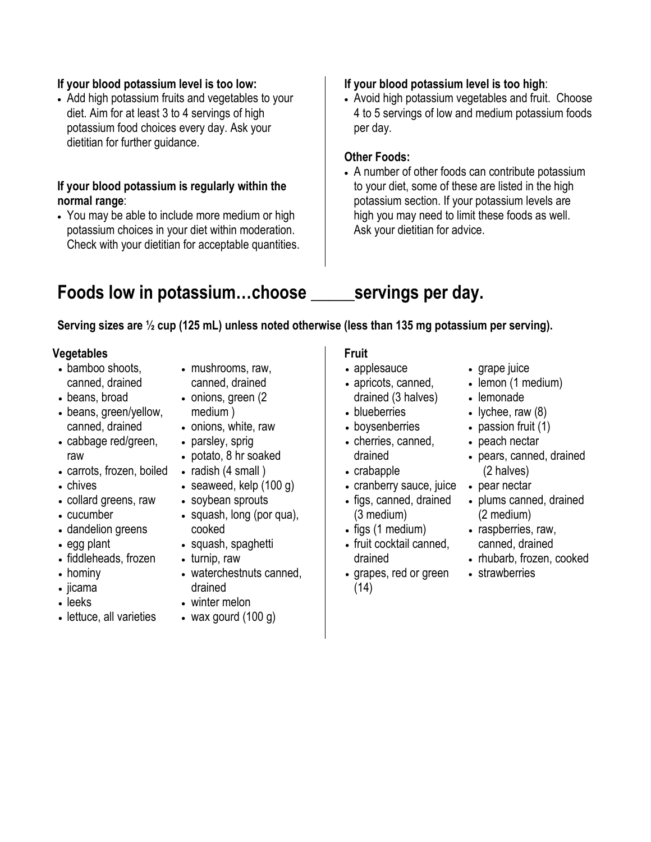### **If your blood potassium level is too low:**

• Add high potassium fruits and vegetables to your diet. Aim for at least 3 to 4 servings of high potassium food choices every day. Ask your dietitian for further guidance.

### **If your blood potassium is regularly within the normal range**:

 You may be able to include more medium or high potassium choices in your diet within moderation. Check with your dietitian for acceptable quantities.

### **If your blood potassium level is too high**:

 Avoid high potassium vegetables and fruit. Choose 4 to 5 servings of low and medium potassium foods per day.

### **Other Foods:**

 A number of other foods can contribute potassium to your diet, some of these are listed in the high potassium section. If your potassium levels are high you may need to limit these foods as well. Ask your dietitian for advice.

## **Foods low in potassium…choose \_\_\_\_\_servings per day.**

### **Serving sizes are ½ cup (125 mL) unless noted otherwise (less than 135 mg potassium per serving).**

### **Vegetables**

- bamboo shoots, canned, drained
- beans, broad
- beans, green/yellow, canned, drained
- cabbage red/green, raw
- carrots, frozen, boiled
- chives
- collard greens, raw
- cucumber
- dandelion greens
- egg plant
- fiddleheads, frozen
- hominy
- jicama
- leeks
- lettuce, all varieties
- mushrooms, raw, canned, drained
- onions, green (2) medium )
- onions, white, raw
- parsley, sprig
- potato, 8 hr soaked
- radish  $(4 \text{ small})$
- seaweed, kelp (100 g)
- soybean sprouts
- squash, long (por qua), cooked
- squash, spaghetti
- turnip, raw
- waterchestnuts canned, drained
- winter melon
- wax gourd (100 g)

### **Fruit**

- applesauce
- apricots, canned, drained (3 halves)
- blueberries
- boysenberries
- cherries, canned, drained
- crabapple
- cranberry sauce, juice
- figs, canned, drained (3 medium)
- $\bullet$  figs (1 medium)
- fruit cocktail canned, drained
- grapes, red or green (14)
- grape juice
- lemon (1 medium)
- lemonade
- lychee, raw  $(8)$
- $\bullet$  passion fruit (1)
- peach nectar
- pears, canned, drained (2 halves)
- pear nectar
- plums canned, drained (2 medium)
- raspberries, raw, canned, drained
- rhubarb, frozen, cooked
- strawberries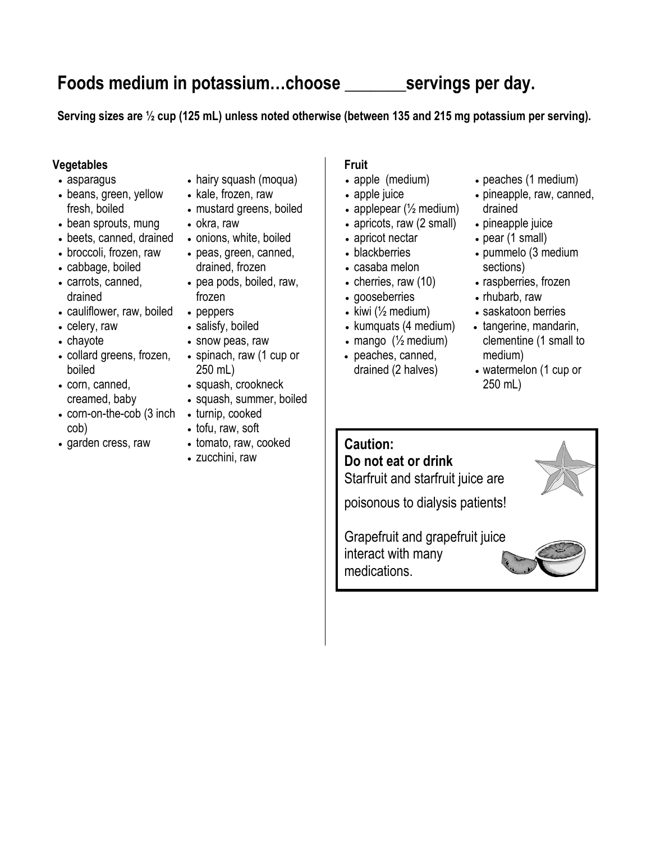## **Foods medium in potassium…choose \_\_\_\_\_\_\_servings per day.**

**Serving sizes are ½ cup (125 mL) unless noted otherwise (between 135 and 215 mg potassium per serving).**

### **Vegetables**

- asparagus
- beans, green, yellow fresh, boiled
- bean sprouts, mung
- beets, canned, drained
- broccoli, frozen, raw
- cabbage, boiled
- carrots, canned, drained
- cauliflower, raw, boiled
- celery, raw
- chayote
- collard greens, frozen, boiled
- corn, canned, creamed, baby
- corn-on-the-cob (3 inch cob)
- garden cress, raw
- hairy squash (moqua)
- kale, frozen, raw
- mustard greens, boiled
- okra, raw
- onions, white, boiled
- peas, green, canned, drained, frozen
- pea pods, boiled, raw, frozen
- peppers
- salisfy, boiled
- snow peas, raw
- spinach, raw (1 cup or 250 mL)
- squash, crookneck
- squash, summer, boiled
- turnip, cooked
- tofu, raw, soft
- tomato, raw, cooked
- zucchini, raw

### **Fruit**

- apple (medium)
- apple juice
- applepear  $(\frac{1}{2})$  medium)
- apricots, raw (2 small)
- apricot nectar
- blackberries
- casaba melon
- cherries, raw (10)
- gooseberries
- kiwi ( $\frac{1}{2}$  medium)
- $\bullet$  kumquats (4 medium)
- $em{mapo}$  ( $\frac{1}{2}$  medium)
- peaches, canned, drained (2 halves)
- peaches (1 medium)
- pineapple, raw, canned, drained
- pineapple juice
- pear (1 small)
- pummelo (3 medium sections)
- raspberries, frozen
- rhubarb, raw
	- saskatoon berries
	- tangerine, mandarin, clementine (1 small to medium)
	- watermelon (1 cup or 250 mL)

## **Caution:**

**Do not eat or drink** Starfruit and starfruit juice are

poisonous to dialysis patients!

Grapefruit and grapefruit juice interact with many medications.